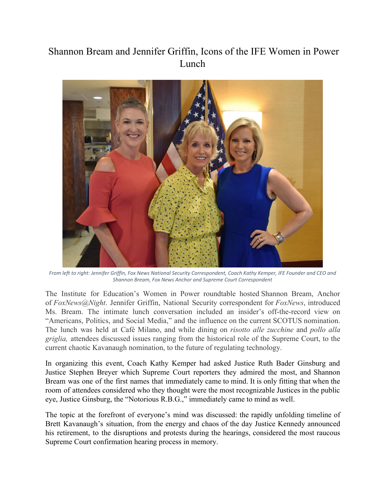## Shannon Bream and Jennifer Griffin, Icons of the IFE Women in Power Lunch



*From left to right: Jennifer Griffin, Fox News National Security Correspondent, Coach Kathy Kemper, IFE Founder and CEO and Shannon Bream, Fox News Anchor and Supreme Court Correspondent*

The Institute for Education's Women in Power roundtable hosted Shannon Bream, Anchor of *FoxNews@Night*. Jennifer Griffin, National Security correspondent for *FoxNews*, introduced Ms. Bream. The intimate lunch conversation included an insider's off-the-record view on "Americans, Politics, and Social Media," and the influence on the current SCOTUS nomination. The lunch was held at Café Milano, and while dining on *risotto alle zucchine* and *pollo alla griglia,* attendees discussed issues ranging from the historical role of the Supreme Court, to the current chaotic Kavanaugh nomination, to the future of regulating technology.

In organizing this event, Coach Kathy Kemper had asked Justice Ruth Bader Ginsburg and Justice Stephen Breyer which Supreme Court reporters they admired the most, and Shannon Bream was one of the first names that immediately came to mind. It is only fitting that when the room of attendees considered who they thought were the most recognizable Justices in the public eye, Justice Ginsburg, the "Notorious R.B.G.," immediately came to mind as well.

The topic at the forefront of everyone's mind was discussed: the rapidly unfolding timeline of Brett Kavanaugh's situation, from the energy and chaos of the day Justice Kennedy announced his retirement, to the disruptions and protests during the hearings, considered the most raucous Supreme Court confirmation hearing process in memory.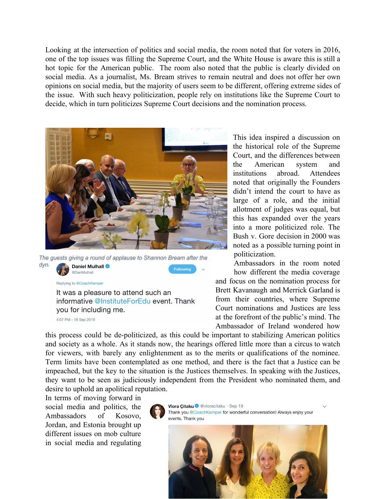Looking at the intersection of politics and social media, the room noted that for voters in 2016, one of the top issues was filling the Supreme Court, and the White House is aware this is still a hot topic for the American public. The room also noted that the public is clearly divided on social media. As a journalist, Ms. Bream strives to remain neutral and does not offer her own opinions on social media, but the majority of users seem to be different, offering extreme sides of the issue. With such heavy politicization, people rely on institutions like the Supreme Court to decide, which in turn politicizes Supreme Court decisions and the nomination process.



The guests giving a round of applause to Shannon Bream after the dyn Daniel Mulhall Following @DanMulhall

Replying to @CoachKemper

It was a pleasure to attend such an informative @InstituteForEdu event. Thank you for including me.

4:07 PM - 19 Sep 2018

This idea inspired a discussion on the historical role of the Supreme Court, and the differences between the American system and institutions abroad. Attendees noted that originally the Founders didn't intend the court to have as large of a role, and the initial allotment of judges was equal, but this has expanded over the years into a more politicized role. The Bush v. Gore decision in 2000 was noted as a possible turning point in politicization.

Ambassadors in the room noted how different the media coverage and focus on the nomination process for Brett Kavanaugh and Merrick Garland is from their countries, where Supreme Court nominations and Justices are less at the forefront of the public's mind. The Ambassador of Ireland wondered how

this process could be de-politicized, as this could be important to stabilizing American politics and society as a whole. As it stands now, the hearings offered little more than a circus to watch for viewers, with barely any enlightenment as to the merits or qualifications of the nominee. Term limits have been contemplated as one method, and there is the fact that a Justice can be impeached, but the key to the situation is the Justices themselves. In speaking with the Justices, they want to be seen as judiciously independent from the President who nominated them, and desire to uphold an apolitical reputation.

In terms of moving forward in social media and politics, the Ambassadors of Kosovo, Jordan, and Estonia brought up different issues on mob culture in social media and regulating



Vlora Citaku @ @vloracitaku · Sep 19 Thank you @CoachKemper for wonderful conversation! Always enjoy your events Thank you

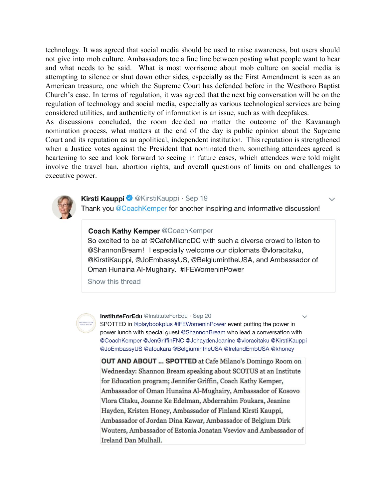technology. It was agreed that social media should be used to raise awareness, but users should not give into mob culture. Ambassadors toe a fine line between posting what people want to hear and what needs to be said. What is most worrisome about mob culture on social media is attempting to silence or shut down other sides, especially as the First Amendment is seen as an American treasure, one which the Supreme Court has defended before in the Westboro Baptist Church's case. In terms of regulation, it was agreed that the next big conversation will be on the regulation of technology and social media, especially as various technological services are being considered utilities, and authenticity of information is an issue, such as with deepfakes.

As discussions concluded, the room decided no matter the outcome of the Kavanaugh nomination process, what matters at the end of the day is public opinion about the Supreme Court and its reputation as an apolitical, independent institution. This reputation is strengthened when a Justice votes against the President that nominated them, something attendees agreed is heartening to see and look forward to seeing in future cases, which attendees were told might involve the travel ban, abortion rights, and overall questions of limits on and challenges to executive power.



## Kirsti Kauppi @KirstiKauppi · Sep 19

Thank you @CoachKemper for another inspiring and informative discussion!

## **Coach Kathy Kemper @CoachKemper**

So excited to be at @CafeMilanoDC with such a diverse crowd to listen to @ShannonBream! I especially welcome our diplomats @vloracitaku, @KirstiKauppi, @JoEmbassyUS, @BelgiumintheUSA, and Ambassador of Oman Hunaina Al-Mughairy. #IFEWomeninPower

Show this thread



InstituteForEdu @InstituteForEdu · Sep 20

SPOTTED in @playbookplus #IFEWomeninPower event putting the power in power lunch with special guest @ShannonBream who lead a conversation with @CoachKemper @JenGriffinFNC @JchaydenJeanine @vloracitaku @KirstiKauppi @JoEmbassyUS @afoukara @BelgiumintheUSA @IrelandEmbUSA @khoney

**OUT AND ABOUT ... SPOTTED** at Cafe Milano's Domingo Room on Wednesday: Shannon Bream speaking about SCOTUS at an Institute for Education program; Jennifer Griffin, Coach Kathy Kemper, Ambassador of Oman Hunaina Al-Mughairy, Ambassador of Kosovo Vlora Citaku, Joanne Ke Edelman, Abderrahim Foukara, Jeanine Hayden, Kristen Honey, Ambassador of Finland Kirsti Kauppi, Ambassador of Jordan Dina Kawar, Ambassador of Belgium Dirk Wouters, Ambassador of Estonia Jonatan Vseviov and Ambassador of Ireland Dan Mulhall.